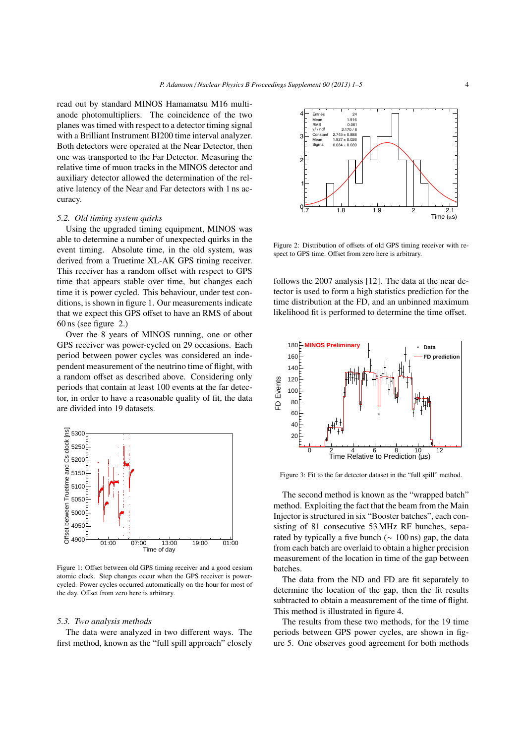read out by standard MINOS Hamamatsu M16 multianode photomultipliers. The coincidence of the two planes was timed with respect to a detector timing signal with a Brilliant Instrument BI200 time interval analyzer. Both detectors were operated at the Near Detector, then one was transported to the Far Detector. Measuring the relative time of muon tracks in the MINOS detector and auxiliary detector allowed the determination of the relative latency of the Near and Far detectors with 1 ns accuracy.

## *5.2. Old timing system quirks*

Using the upgraded timing equipment, MINOS was able to determine a number of unexpected quirks in the event timing. Absolute time, in the old system, was derived from a Truetime XL-AK GPS timing receiver. This receiver has a random offset with respect to GPS time that appears stable over time, but changes each time it is power cycled. This behaviour, under test conditions, is shown in figure 1. Our measurements indicate that we expect this GPS offset to have an RMS of about 60 ns (see figure 2.)

Over the 8 years of MINOS running, one or other GPS receiver was power-cycled on 29 occasions. Each period between power cycles was considered an independent measurement of the neutrino time of flight, with a random offset as described above. Considering only periods that contain at least 100 events at the far detector, in order to have a reasonable quality of fit, the data are divided into 19 datasets.

Figure 1: Offset between old GPS timing receiver and a good cesium atomic clock. Step changes occur when the GPS receiver is powercycled. Power cycles occurred automatically on the hour for most of the day. Offset from zero here is arbitrary.

#### *5.3. Two analysis methods*

The data were analyzed in two different ways. The first method, known as the "full spill approach" closely



Figure 2: Distribution of offsets of old GPS timing receiver with respect to GPS time. Offset from zero here is arbitrary.

follows the 2007 analysis [12]. The data at the near detector is used to form a high statistics prediction for the time distribution at the FD, and an unbinned maximum likelihood fit is performed to determine the time offset.



Figure 3: Fit to the far detector dataset in the "full spill" method.

The second method is known as the "wrapped batch" method. Exploiting the fact that the beam from the Main Injector is structured in six "Booster batches", each consisting of 81 consecutive 53 MHz RF bunches, separated by typically a five bunch ( $\sim 100 \text{ ns}$ ) gap, the data from each batch are overlaid to obtain a higher precision measurement of the location in time of the gap between batches.

The data from the ND and FD are fit separately to determine the location of the gap, then the fit results subtracted to obtain a measurement of the time of flight. This method is illustrated in figure 4.

The results from these two methods, for the 19 time periods between GPS power cycles, are shown in figure 5. One observes good agreement for both methods